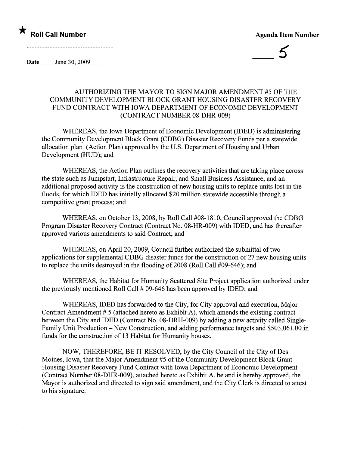## $\star$  Roll Call Number  $\star$  Roll Call Number

5

Date  $_{\text{June }30,2009}$ 

### AUTHORIZING THE MAYOR TO SIGN MAJOR AMENDMENT #5 OF THE COMMUNITY DEVELOPMENT BLOCK GRANT HOUSING DISASTER RECOVERY FUND CONTRACT WITH IOWA DEPARTMENT OF ECONOMIC DEVELOPMENT (CONTRACT NUMBER 08-DHR-009)

WHEREAS, the Iowa Department of Economic Development (IDED) is administering the Community Development Block Grant (CDBG) Disaster Recovery Funds per a statewide allocation plan (Action Plan) approved by the U.S. Department of Housing and Urban Development (HUD); and

WHEREAS, the Action Plan outlines the recovery activities that are taking place across the state such as Jumpstart, Infrastructure Repair, and Small Business Assistance, and an additional proposed activity is the construction of new housing units to replace units lost in the floods, for which IDED has initially allocated \$20 milion statewide accessible through a competitive grant process; and

WHEREAS, on October 13,2008, by Roll Call #08-1810, Council approved the CDBG Program Disaster Recovery Contract (Contract No. 08-HR-009) with IDED, and has thereafter approved various amendments to said Contract; and

WHEREAS, on April 20, 2009, Council further authorized the submittal of two applications for supplemental CDBG disaster funds for the construction of27 new housing units to replace the units destroyed in the flooding of 2008 (Roll Call #09-646); and

WHEREAS, the Habitat for Humanity Scattered Site Project application authorized under the previously mentioned Roll Call # 09-646 has been approved by IDED; and

WHEREAS, IDED has forwarded to the City, for City approval and execution, Major Contract Amendment # 5 (attached hereto as Exhibit A), which amends the existing contract between the City and IDED (Contract No. 08-DRH-009) by adding a new activity called Single-Family Unit Production - New Construction, and adding performance targets and \$503,061.00 in fuds for the construction of 13 Habitat for Humanity houses.

NOW, THEREFORE, BE IT RESOLVED, by the City Council of the City of Des Moines, Iowa, that the Major Amendment #5 of the Community Development Block Grant Housing Disaster Recovery Fund Contract with Iowa Department of Economic Development (Contract Number 08-DHR-009), attached hereto as Exhibit A, be and is hereby approved, the Mayor is authorized and directed to sign said amendment, and the City Clerk is directed to attest to his signature.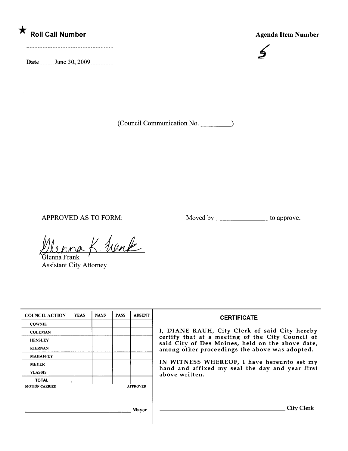# ★<br>Roll Call Number Agenda Item Number

 $\sum_{\text{Date}}$   $\sum_{\text{June } 30, 2009}$   $\sum_{\text{True } 30, 2009}$ 



(Council Communication No. <u>)</u>

APPROVED AS TO FORM: Moved by to approve.

Menna K. Frank

Assistant City Attorney

| <b>COUNCIL ACTION</b> | <b>YEAS</b> | <b>NAYS</b> | <b>PASS</b> | <b>ABSENT</b>   | <b>CERTIFICATE</b>                                                                                                                                                                                                                                                        |  |  |  |  |
|-----------------------|-------------|-------------|-------------|-----------------|---------------------------------------------------------------------------------------------------------------------------------------------------------------------------------------------------------------------------------------------------------------------------|--|--|--|--|
| <b>COWNIE</b>         |             |             |             |                 |                                                                                                                                                                                                                                                                           |  |  |  |  |
| <b>COLEMAN</b>        |             |             |             |                 | I, DIANE RAUH, City Clerk of said City hereby                                                                                                                                                                                                                             |  |  |  |  |
| <b>HENSLEY</b>        |             |             |             |                 | certify that at a meeting of the City Council of<br>said City of Des Moines, held on the above date,<br>among other proceedings the above was adopted.<br>IN WITNESS WHEREOF, I have hereunto set my<br>hand and affixed my seal the day and year first<br>above written. |  |  |  |  |
| <b>KIERNAN</b>        |             |             |             |                 |                                                                                                                                                                                                                                                                           |  |  |  |  |
| <b>MAHAFFEY</b>       |             |             |             |                 |                                                                                                                                                                                                                                                                           |  |  |  |  |
| <b>MEYER</b>          |             |             |             |                 |                                                                                                                                                                                                                                                                           |  |  |  |  |
| <b>VLASSIS</b>        |             |             |             |                 |                                                                                                                                                                                                                                                                           |  |  |  |  |
| <b>TOTAL</b>          |             |             |             |                 |                                                                                                                                                                                                                                                                           |  |  |  |  |
| <b>MOTION CARRIED</b> |             |             |             | <b>APPROVED</b> |                                                                                                                                                                                                                                                                           |  |  |  |  |
|                       |             |             |             |                 |                                                                                                                                                                                                                                                                           |  |  |  |  |
|                       |             |             |             |                 |                                                                                                                                                                                                                                                                           |  |  |  |  |
| Mayor                 |             |             |             |                 | <b>City Clerk</b>                                                                                                                                                                                                                                                         |  |  |  |  |
|                       |             |             |             |                 |                                                                                                                                                                                                                                                                           |  |  |  |  |
|                       |             |             |             |                 |                                                                                                                                                                                                                                                                           |  |  |  |  |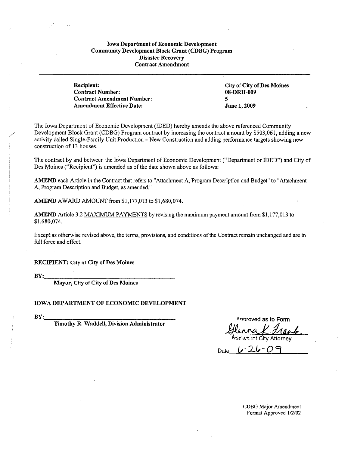#### Iowa Department of Economic Development Community Development Block Grant (CDBG) Program Disaster Recovery Contract Amendment

Recipient: Contract Number: Contract Amendment Number: Amendment Effective Date:

-, '

City of City of Des Moines 08-DRH-009 5 June 1,2009

The Iowa Department of Economic Development (IDED) hereby amends the above referenced Community Development Block Grant (CDBG) Program contract by increasing the contract amount by \$503,061, adding a new activity called Single-Family Unit Production - New Construction and adding performance targets showing new construction of 13 houses.

The contract by and between the Iowa Department of Economic Development ("Department or lDED") and City of Des Moines ("Recipient") is amended as of the date shown above as follows:

AMEND each Article in the Contract that refers to "Attachment A, Program Description and Budget" to "Attachment A, Program Description and Budget, as amended."

AMEND AWARD AMOUNT from \$1,177,013 to \$1,680,074.

AMEND Article 3.2 MAXIMUM PAYMENTS by revising the maximum payment amount from \$1,177,013 to \$1,680,074.

Except as otherwise revised above, the terms, provisions, and conditions of the Contract remain unchanged and are in full force and effect.

RECIPIENT: City of City of Des Moines

BY:

Mayor, City of City of Des Moines

**IOWA DEPARTMENT OF ECONOMIC DEVELOPMENT** 

BY:

Timothy R. Waddell, Division Administrator

Approved as to Form Approved as to Form<br>4 *Henna K. Hank* 

 $Date$   $U - 26 - 09$ 

CDBG Major Amendment Format Approved 1/2/02